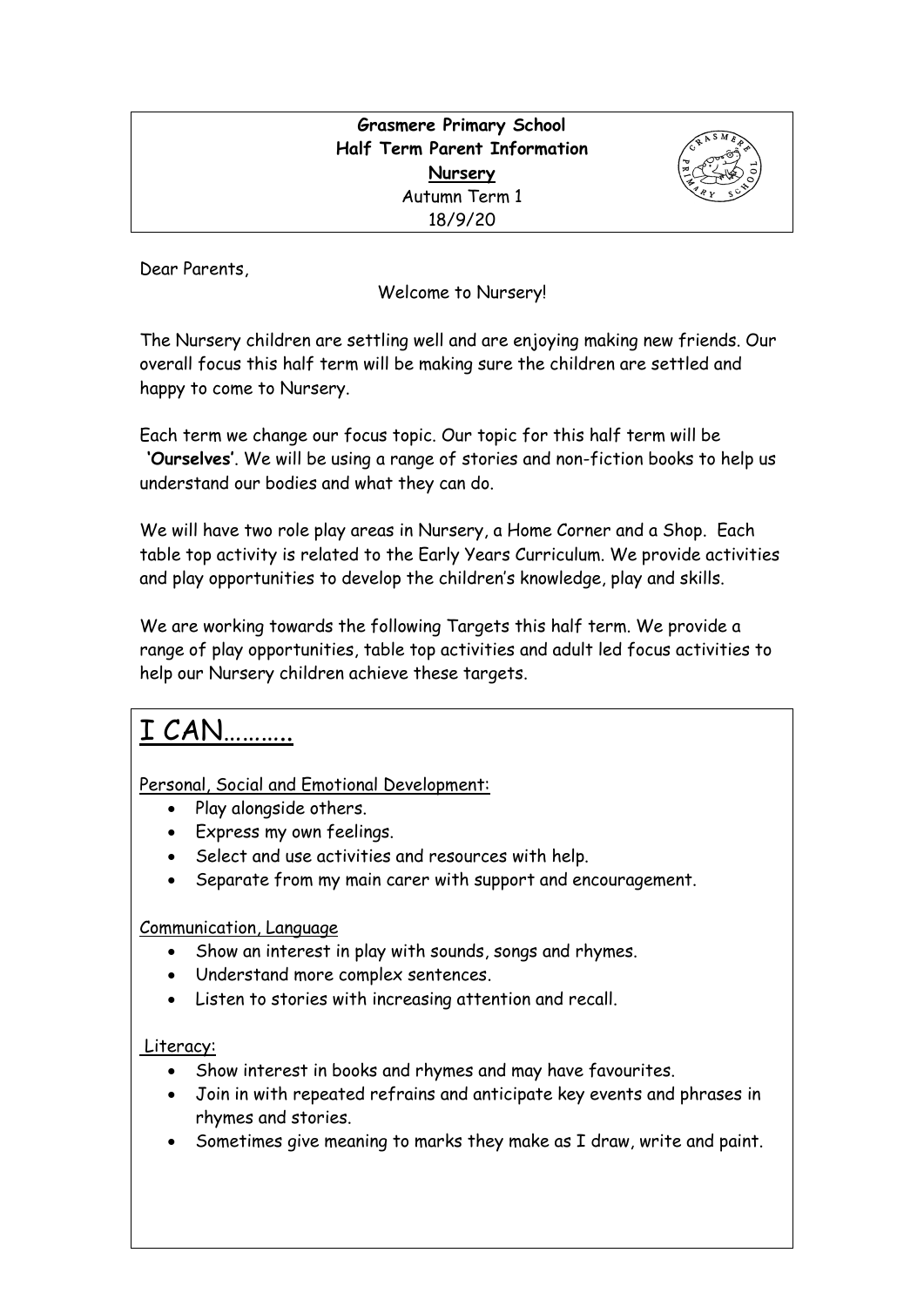| <b>Grasmere Primary School</b> |      |
|--------------------------------|------|
| Half Term Parent Information   | 4h5h |
| Nursery                        |      |
| Autumn Term 1                  |      |
| 18/9/20                        |      |
|                                |      |

Dear Parents,

Welcome to Nursery!

The Nursery children are settling well and are enjoying making new friends. Our overall focus this half term will be making sure the children are settled and happy to come to Nursery.

Each term we change our focus topic. Our topic for this half term will be **'Ourselves'**. We will be using a range of stories and non-fiction books to help us understand our bodies and what they can do.

We will have two role play areas in Nursery, a Home Corner and a Shop. Each table top activity is related to the Early Years Curriculum. We provide activities and play opportunities to develop the children's knowledge, play and skills.

We are working towards the following Targets this half term. We provide a range of play opportunities, table top activities and adult led focus activities to help our Nursery children achieve these targets.

# I CAN………..

Personal, Social and Emotional Development:

- Play alongside others.
- Express my own feelings.
- Select and use activities and resources with help.
- Separate from my main carer with support and encouragement.

# Communication, Language

- Show an interest in play with sounds, songs and rhymes.
- Understand more complex sentences.
- Listen to stories with increasing attention and recall.

# Literacy:

- Show interest in books and rhymes and may have favourites.
- Join in with repeated refrains and anticipate key events and phrases in rhymes and stories.
- Sometimes give meaning to marks they make as I draw, write and paint.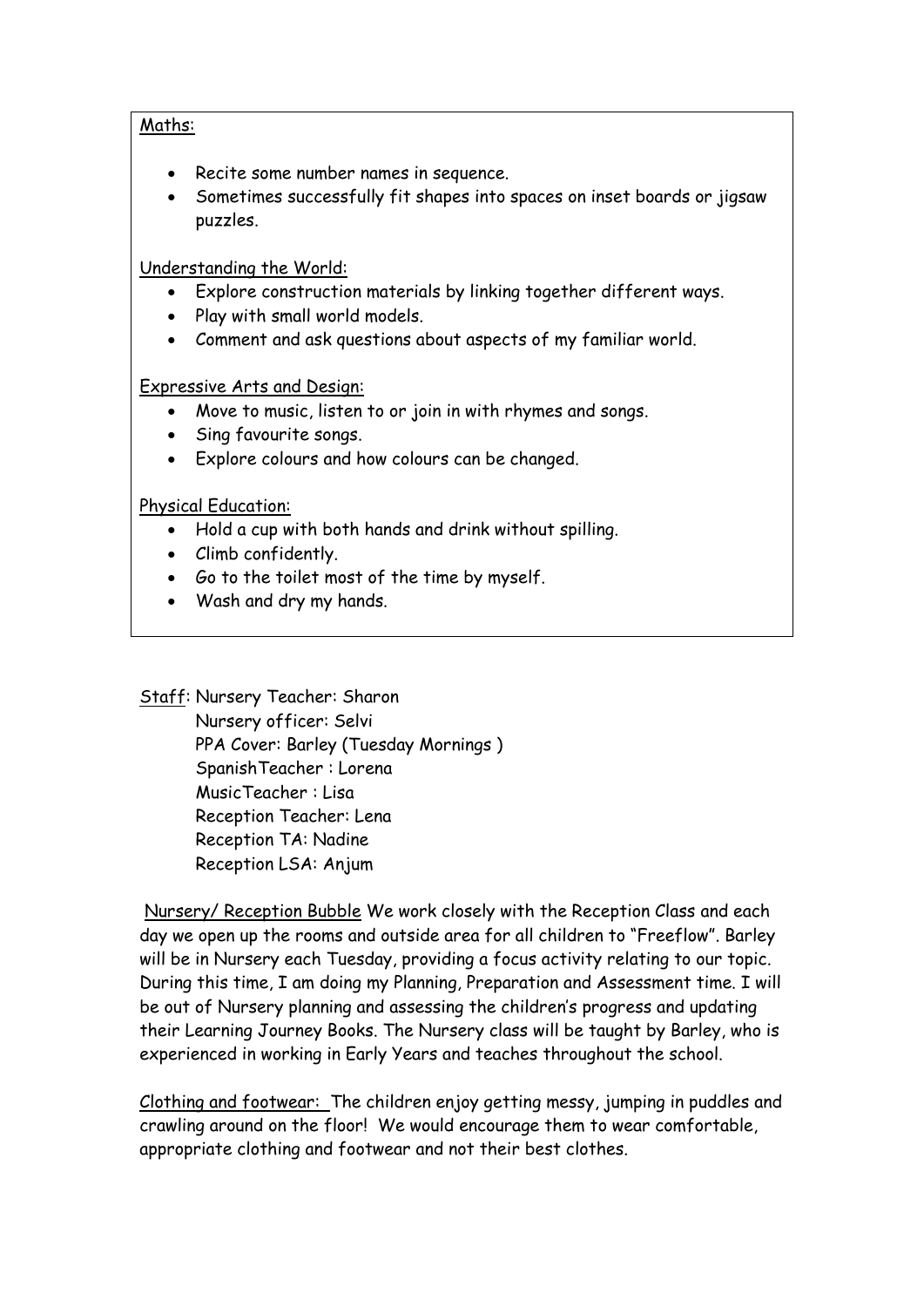#### Maths:

- Recite some number names in sequence.
- Sometimes successfully fit shapes into spaces on inset boards or jigsaw puzzles.

## Understanding the World:

- Explore construction materials by linking together different ways.
- Play with small world models.
- Comment and ask questions about aspects of my familiar world.

## Expressive Arts and Design:

- Move to music, listen to or join in with rhymes and songs.
- Sing favourite songs.
- Explore colours and how colours can be changed.

## Physical Education:

- Hold a cup with both hands and drink without spilling.
- Climb confidently.
- Go to the toilet most of the time by myself.
- Wash and dry my hands.

Staff: Nursery Teacher: Sharon

 Nursery officer: Selvi PPA Cover: Barley (Tuesday Mornings ) SpanishTeacher : Lorena MusicTeacher : Lisa Reception Teacher: Lena Reception TA: Nadine Reception LSA: Anjum

Nursery/ Reception Bubble We work closely with the Reception Class and each day we open up the rooms and outside area for all children to "Freeflow". Barley will be in Nursery each Tuesday, providing a focus activity relating to our topic. During this time, I am doing my Planning, Preparation and Assessment time. I will be out of Nursery planning and assessing the children's progress and updating their Learning Journey Books. The Nursery class will be taught by Barley, who is experienced in working in Early Years and teaches throughout the school.

Clothing and footwear: The children enjoy getting messy, jumping in puddles and crawling around on the floor! We would encourage them to wear comfortable, appropriate clothing and footwear and not their best clothes.